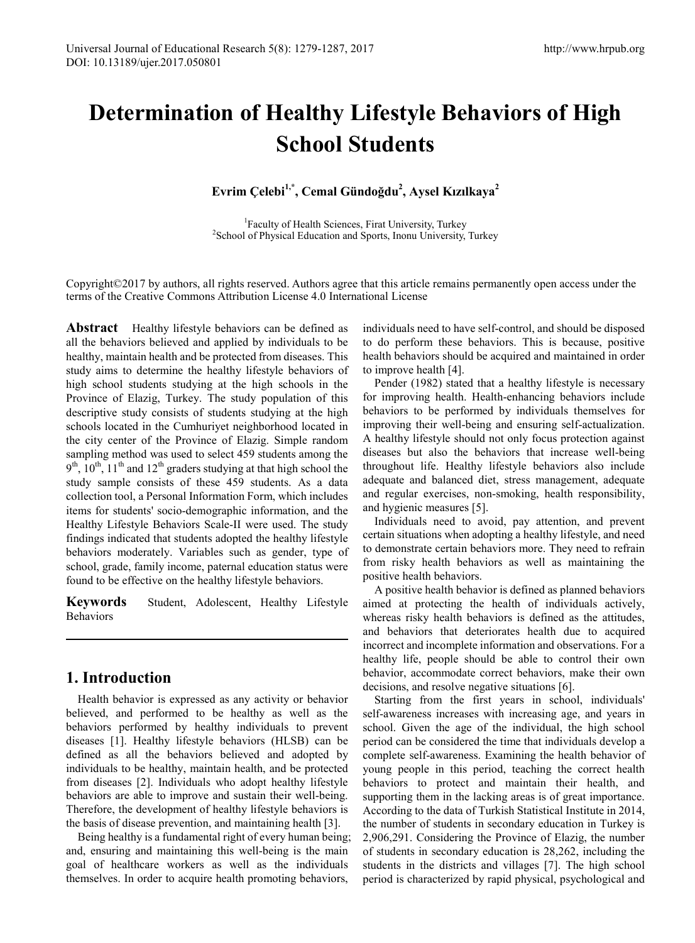# **Determination of Healthy Lifestyle Behaviors of High School Students**

**Evrim Çelebi1,\*, Cemal Gündoğdu<sup>2</sup> , Aysel Kızılkaya<sup>2</sup>**

<sup>1</sup> Faculty of Health Sciences, Firat University, Turkey<sup>2</sup>School of Physical Education and Sports, Inony University <sup>2</sup> School of Physical Education and Sports, Inonu University, Turkey

Copyright©2017 by authors, all rights reserved. Authors agree that this article remains permanently open access under the terms of the Creative Commons Attribution License 4.0 International License

**Abstract** Healthy lifestyle behaviors can be defined as all the behaviors believed and applied by individuals to be healthy, maintain health and be protected from diseases. This study aims to determine the healthy lifestyle behaviors of high school students studying at the high schools in the Province of Elazig, Turkey. The study population of this descriptive study consists of students studying at the high schools located in the Cumhuriyet neighborhood located in the city center of the Province of Elazig. Simple random sampling method was used to select 459 students among the  $9<sup>th</sup>$ ,  $10<sup>th</sup>$ ,  $11<sup>th</sup>$  and  $12<sup>th</sup>$  graders studying at that high school the study sample consists of these 459 students. As a data collection tool, a Personal Information Form, which includes items for students' socio-demographic information, and the Healthy Lifestyle Behaviors Scale-II were used. The study findings indicated that students adopted the healthy lifestyle behaviors moderately. Variables such as gender, type of school, grade, family income, paternal education status were found to be effective on the healthy lifestyle behaviors.

**Keywords** Student, Adolescent, Healthy Lifestyle Behaviors

## **1. Introduction**

Health behavior is expressed as any activity or behavior believed, and performed to be healthy as well as the behaviors performed by healthy individuals to prevent diseases [1]. Healthy lifestyle behaviors (HLSB) can be defined as all the behaviors believed and adopted by individuals to be healthy, maintain health, and be protected from diseases [2]. Individuals who adopt healthy lifestyle behaviors are able to improve and sustain their well-being. Therefore, the development of healthy lifestyle behaviors is the basis of disease prevention, and maintaining health [3].

Being healthy is a fundamental right of every human being; and, ensuring and maintaining this well-being is the main goal of healthcare workers as well as the individuals themselves. In order to acquire health promoting behaviors,

individuals need to have self-control, and should be disposed to do perform these behaviors. This is because, positive health behaviors should be acquired and maintained in order to improve health [4].

Pender (1982) stated that a healthy lifestyle is necessary for improving health. Health-enhancing behaviors include behaviors to be performed by individuals themselves for improving their well-being and ensuring self-actualization. A healthy lifestyle should not only focus protection against diseases but also the behaviors that increase well-being throughout life. Healthy lifestyle behaviors also include adequate and balanced diet, stress management, adequate and regular exercises, non-smoking, health responsibility, and hygienic measures [5].

Individuals need to avoid, pay attention, and prevent certain situations when adopting a healthy lifestyle, and need to demonstrate certain behaviors more. They need to refrain from risky health behaviors as well as maintaining the positive health behaviors.

A positive health behavior is defined as planned behaviors aimed at protecting the health of individuals actively, whereas risky health behaviors is defined as the attitudes, and behaviors that deteriorates health due to acquired incorrect and incomplete information and observations. For a healthy life, people should be able to control their own behavior, accommodate correct behaviors, make their own decisions, and resolve negative situations [6].

Starting from the first years in school, individuals' self-awareness increases with increasing age, and years in school. Given the age of the individual, the high school period can be considered the time that individuals develop a complete self-awareness. Examining the health behavior of young people in this period, teaching the correct health behaviors to protect and maintain their health, and supporting them in the lacking areas is of great importance. According to the data of Turkish Statistical Institute in 2014, the number of students in secondary education in Turkey is 2,906,291. Considering the Province of Elazig, the number of students in secondary education is 28,262, including the students in the districts and villages [7]. The high school period is characterized by rapid physical, psychological and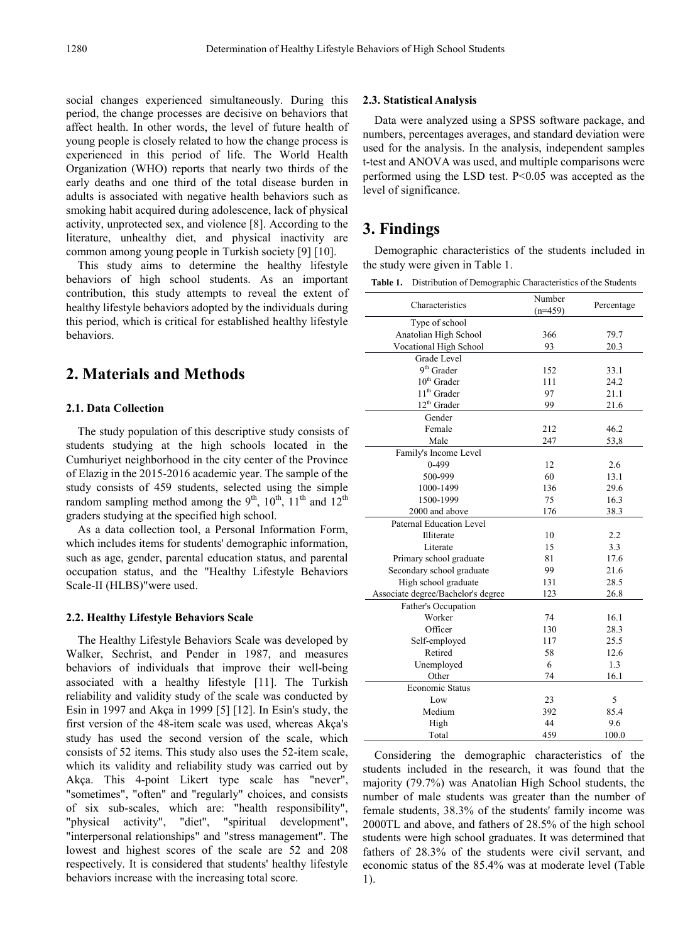social changes experienced simultaneously. During this period, the change processes are decisive on behaviors that affect health. In other words, the level of future health of young people is closely related to how the change process is experienced in this period of life. The World Health Organization (WHO) reports that nearly two thirds of the early deaths and one third of the total disease burden in adults is associated with negative health behaviors such as smoking habit acquired during adolescence, lack of physical activity, unprotected sex, and violence [8]. According to the literature, unhealthy diet, and physical inactivity are common among young people in Turkish society [9] [10].

This study aims to determine the healthy lifestyle behaviors of high school students. As an important contribution, this study attempts to reveal the extent of healthy lifestyle behaviors adopted by the individuals during this period, which is critical for established healthy lifestyle behaviors.

# **2. Materials and Methods**

#### **2.1. Data Collection**

The study population of this descriptive study consists of students studying at the high schools located in the Cumhuriyet neighborhood in the city center of the Province of Elazig in the 2015-2016 academic year. The sample of the study consists of 459 students, selected using the simple random sampling method among the  $9<sup>th</sup>$ ,  $10<sup>th</sup>$ ,  $11<sup>th</sup>$  and  $12<sup>th</sup>$ graders studying at the specified high school.

As a data collection tool, a Personal Information Form, which includes items for students' demographic information, such as age, gender, parental education status, and parental occupation status, and the "Healthy Lifestyle Behaviors Scale-II (HLBS)"were used.

#### **2.2. Healthy Lifestyle Behaviors Scale**

The Healthy Lifestyle Behaviors Scale was developed by Walker, Sechrist, and Pender in 1987, and measures behaviors of individuals that improve their well-being associated with a healthy lifestyle [11]. The Turkish reliability and validity study of the scale was conducted by Esin in 1997 and Akça in 1999 [5] [12]. In Esin's study, the first version of the 48-item scale was used, whereas Akça's study has used the second version of the scale, which consists of 52 items. This study also uses the 52-item scale, which its validity and reliability study was carried out by Akça. This 4-point Likert type scale has "never", "sometimes", "often" and "regularly" choices, and consists of six sub-scales, which are: "health responsibility", "physical activity", "diet", "spiritual development", "interpersonal relationships" and "stress management". The lowest and highest scores of the scale are 52 and 208 respectively. It is considered that students' healthy lifestyle behaviors increase with the increasing total score.

#### **2.3. Statistical Analysis**

Data were analyzed using a SPSS software package, and numbers, percentages averages, and standard deviation were used for the analysis. In the analysis, independent samples t-test and ANOVA was used, and multiple comparisons were performed using the LSD test. P<0.05 was accepted as the level of significance.

### **3. Findings**

Demographic characteristics of the students included in the study were given in Table 1.

**Table 1.** Distribution of Demographic Characteristics of the Students

| Characteristics                    | Number    | Percentage |  |  |
|------------------------------------|-----------|------------|--|--|
|                                    | $(n=459)$ |            |  |  |
| Type of school                     |           |            |  |  |
| Anatolian High School              | 366       | 79.7       |  |  |
| Vocational High School             | 93        | 20.3       |  |  |
| Grade Level                        |           |            |  |  |
| 9 <sup>th</sup> Grader             | 152       | 33.1       |  |  |
| $10^{th}$ Grader                   | 111       | 24.2       |  |  |
| $11^{th}$ Grader                   | 97        | 21.1       |  |  |
| $12^{th}$ Grader                   | 99        | 21.6       |  |  |
| Gender                             |           |            |  |  |
| Female                             | 212       | 46.2       |  |  |
| Male                               | 247       | 53,8       |  |  |
| Family's Income Level              |           |            |  |  |
| 0-499                              | 12        | 2.6        |  |  |
| 500-999                            | 60        | 13.1       |  |  |
| 1000-1499                          | 136       | 29.6       |  |  |
| 1500-1999                          | 75        | 16.3       |  |  |
| 2000 and above                     | 176       | 38.3       |  |  |
| Paternal Education Level           |           |            |  |  |
| Illiterate                         | 10        | 2.2        |  |  |
| Literate                           | 15        | 3.3        |  |  |
| Primary school graduate            | 81        | 17.6       |  |  |
| Secondary school graduate          | 99        | 21.6       |  |  |
| High school graduate               | 131       | 28.5       |  |  |
| Associate degree/Bachelor's degree | 123       | 26.8       |  |  |
| Father's Occupation                |           |            |  |  |
| Worker                             | 74        | 16.1       |  |  |
| Officer                            | 130       | 28.3       |  |  |
| Self-employed                      | 117       | 25.5       |  |  |
| Retired                            | 58        | 12.6       |  |  |
| Unemployed                         | 6         | 1.3        |  |  |
| Other                              | 74        | 16.1       |  |  |
| <b>Economic Status</b>             |           |            |  |  |
| Low                                | 23        | 5          |  |  |
| Medium                             | 392       | 85.4       |  |  |
| High                               | 44        | 9.6        |  |  |
| Total                              | 459       | 100.0      |  |  |

Considering the demographic characteristics of the students included in the research, it was found that the majority (79.7%) was Anatolian High School students, the number of male students was greater than the number of female students, 38.3% of the students' family income was 2000TL and above, and fathers of 28.5% of the high school students were high school graduates. It was determined that fathers of 28.3% of the students were civil servant, and economic status of the 85.4% was at moderate level (Table 1).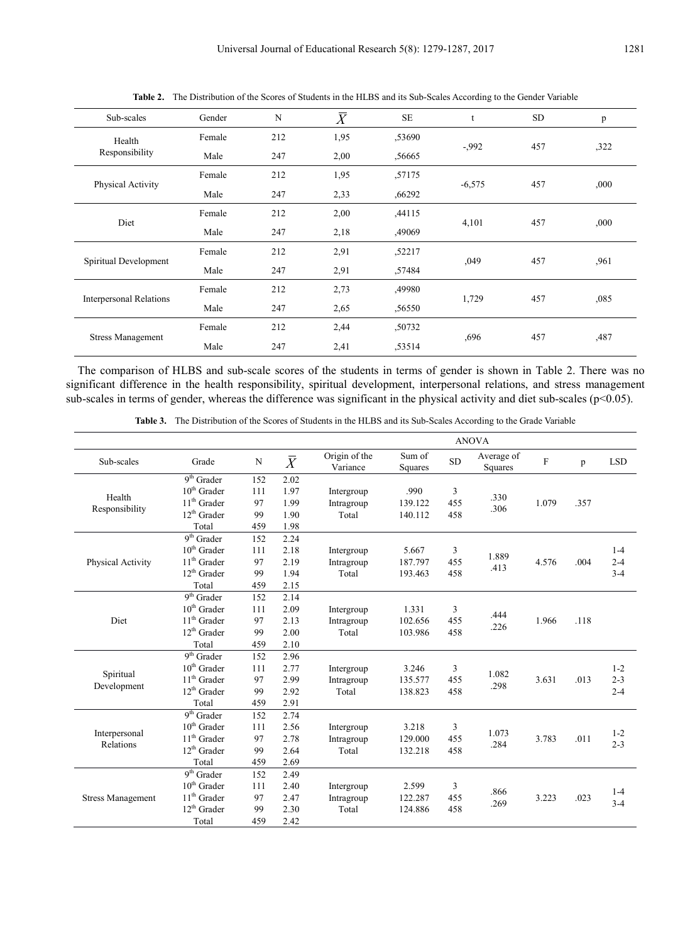| Sub-scales                     | Gender | N   | $\overline{X}$ | <b>SE</b> | t        | <b>SD</b> | p    |
|--------------------------------|--------|-----|----------------|-----------|----------|-----------|------|
| Health<br>Responsibility       | Female | 212 | 1,95           | ,53690    |          |           |      |
|                                | Male   | 247 | 2,00           | ,56665    | $-992$   | 457       | ,322 |
| Physical Activity              | Female | 212 | 1,95           | ,57175    |          |           |      |
|                                | Male   | 247 | 2,33           | ,66292    | $-6,575$ | 457       | ,000 |
|                                | Female | 212 | 2,00           | ,44115    |          |           |      |
| Diet                           | Male   | 247 | 2,18           | ,49069    | 4,101    | 457       | ,000 |
|                                | Female | 212 | 2,91           | ,52217    |          |           |      |
| Spiritual Development          | Male   | 247 | 2,91           | ,57484    | ,049     | 457       | .961 |
|                                | Female | 212 | 2,73           | ,49980    |          |           |      |
| <b>Interpersonal Relations</b> | Male   | 247 | 2,65           | ,56550    | 1,729    | 457       | ,085 |
|                                | Female | 212 | 2,44           | ,50732    |          |           |      |
| <b>Stress Management</b>       | Male   | 247 | 2,41           | .53514    | ,696     | 457       | ,487 |

**Table 2.** The Distribution of the Scores of Students in the HLBS and its Sub-Scales According to the Gender Variable

The comparison of HLBS and sub-scale scores of the students in terms of gender is shown in Table 2. There was no significant difference in the health responsibility, spiritual development, interpersonal relations, and stress management sub-scales in terms of gender, whereas the difference was significant in the physical activity and diet sub-scales ( $p<0.05$ ).

**Table 3.** The Distribution of the Scores of Students in the HLBS and its Sub-Scales According to the Grade Variable

|                          |                                     |           |           | <b>ANOVA</b>              |                   |           |                       |       |      |            |
|--------------------------|-------------------------------------|-----------|-----------|---------------------------|-------------------|-----------|-----------------------|-------|------|------------|
| Sub-scales               | Grade                               | ${\bf N}$ | $\bar{X}$ | Origin of the<br>Variance | Sum of<br>Squares | <b>SD</b> | Average of<br>Squares | F     | p    | <b>LSD</b> |
|                          | $9th$ Grader                        | 152       | 2.02      |                           |                   |           |                       |       |      |            |
| Health                   | $10th$ Grader                       | 111       | 1.97      | Intergroup                | .990              | 3         | .330                  |       |      |            |
| Responsibility           | $11th$ Grader                       | 97        | 1.99      | Intragroup                | 139.122           | 455       | .306                  | 1.079 | .357 |            |
|                          | $12th$ Grader                       | 99        | 1.90      | Total                     | 140.112           | 458       |                       |       |      |            |
|                          | Total                               | 459       | 1.98      |                           |                   |           |                       |       |      |            |
|                          | $\overline{9^{th}}$ Grader          | 152       | 2.24      |                           |                   |           |                       |       |      |            |
|                          | $10th$ Grader                       | 111       | 2.18      | Intergroup                | 5.667             | 3         | 1.889                 |       |      | $1 - 4$    |
| Physical Activity        | $11th$ Grader                       | 97        | 2.19      | Intragroup                | 187.797           | 455       | .413                  | 4.576 | .004 | $2 - 4$    |
|                          | $12^{th}$ Grader                    | 99        | 1.94      | Total                     | 193.463           | 458       |                       |       |      | $3 - 4$    |
|                          | Total                               | 459       | 2.15      |                           |                   |           |                       |       |      |            |
|                          | $\overline{9^{th}}$ Grader          | 152       | 2.14      |                           |                   |           |                       |       |      |            |
|                          | $10th$ Grader                       | 111       | 2.09      | Intergroup                | 1.331             | 3         | .444                  |       |      |            |
| <b>Diet</b>              | $11th$ Grader                       | 97        | 2.13      | Intragroup                | 102.656           | 455       | .226                  | 1.966 | .118 |            |
|                          | $12^{th}$ Grader                    | 99        | 2.00      | Total                     | 103.986           | 458       |                       |       |      |            |
|                          | Total                               | 459       | 2.10      |                           |                   |           |                       |       |      |            |
|                          | $9th$ Grader                        | 152       | 2.96      |                           |                   |           |                       |       |      |            |
| Spiritual                | $10^{th}$ Grader                    | 111       | 2.77      | Intergroup                | 3.246             | 3         | 1.082                 | 3.631 |      | $1 - 2$    |
| Development              | $11th$ Grader                       | 97        | 2.99      | Intragroup                | 135.577           | 455       | .298                  |       | .013 | $2 - 3$    |
|                          | $12^{\rm th}$ Grader                | 99        | 2.92      | Total                     | 138.823           | 458       |                       |       |      | $2 - 4$    |
|                          | Total                               | 459       | 2.91      |                           |                   |           |                       |       |      |            |
|                          | $9th$ Grader                        | 152       | 2.74      |                           |                   |           |                       |       |      |            |
| Interpersonal            | $10th$ Grader                       | 111       | 2.56      | Intergroup                | 3.218             | 3         | 1.073                 |       |      | $1 - 2$    |
| <b>Relations</b>         | $11th$ Grader                       | 97        | 2.78      | Intragroup                | 129.000           | 455       | .284                  | 3.783 | .011 | $2 - 3$    |
|                          | $12^{th}$ Grader                    | 99        | 2.64      | Total                     | 132.218           | 458       |                       |       |      |            |
|                          | Total                               | 459       | 2.69      |                           |                   |           |                       |       |      |            |
|                          | $\overline{9}$ <sup>th</sup> Grader | 152       | 2.49      |                           |                   |           |                       |       |      |            |
|                          | $10^{\rm th}$ Grader                | 111       | 2.40      | Intergroup                | 2.599             | 3         | .866                  |       |      | $1-4$      |
| <b>Stress Management</b> | $11th$ Grader                       | 97        | 2.47      | Intragroup                | 122.287           | 455       | .269                  | 3.223 | .023 | $3-4$      |
|                          | $12^{th}$ Grader                    | 99        | 2.30      | Total                     | 124.886           | 458       |                       |       |      |            |
|                          | Total                               | 459       | 2.42      |                           |                   |           |                       |       |      |            |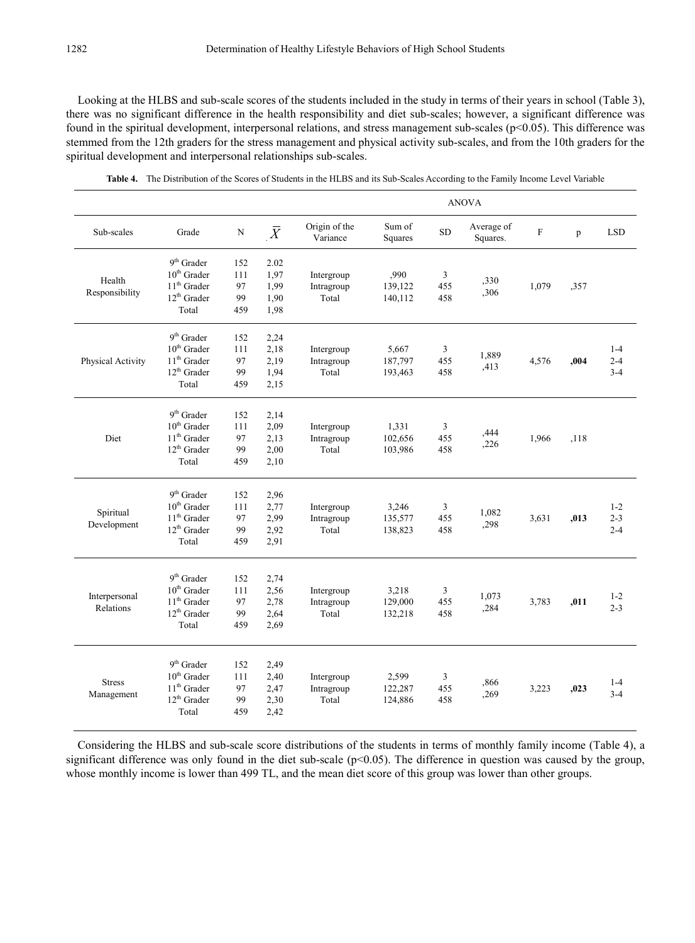Looking at the HLBS and sub-scale scores of the students included in the study in terms of their years in school (Table 3), there was no significant difference in the health responsibility and diet sub-scales; however, a significant difference was found in the spiritual development, interpersonal relations, and stress management sub-scales ( $p<0.05$ ). This difference was stemmed from the 12th graders for the stress management and physical activity sub-scales, and from the 10th graders for the spiritual development and interpersonal relationships sub-scales.

|                             |                                                                                              |                               |                                      | <b>ANOVA</b>                      |                             |                              |                        |             |      |                               |  |
|-----------------------------|----------------------------------------------------------------------------------------------|-------------------------------|--------------------------------------|-----------------------------------|-----------------------------|------------------------------|------------------------|-------------|------|-------------------------------|--|
| Sub-scales                  | Grade                                                                                        | $\mathbf N$                   | $\overline{X}$                       | Origin of the<br>Variance         | Sum of<br>Squares           | ${\rm SD}$                   | Average of<br>Squares. | $\mathbf F$ | p    | <b>LSD</b>                    |  |
| Health<br>Responsibility    | $9^{\rm th}$ Grader<br>$10^{th}$ Grader<br>$11^{\rm th}$ Grader<br>$12^{th}$ Grader<br>Total | 152<br>111<br>97<br>99<br>459 | 2.02<br>1,97<br>1,99<br>1,90<br>1,98 | Intergroup<br>Intragroup<br>Total | ,990<br>139,122<br>140,112  | 3<br>455<br>458              | ,330<br>,306           | 1,079       | ,357 |                               |  |
| Physical Activity           | 9 <sup>th</sup> Grader<br>$10th$ Grader<br>$11th$ Grader<br>$12^{th}$ Grader<br>Total        | 152<br>111<br>97<br>99<br>459 | 2,24<br>2,18<br>2,19<br>1,94<br>2,15 | Intergroup<br>Intragroup<br>Total | 5,667<br>187,797<br>193,463 | $\mathfrak{Z}$<br>455<br>458 | 1,889<br>,413          | 4,576       | ,004 | $1-4$<br>$2 - 4$<br>$3 - 4$   |  |
| Diet                        | 9 <sup>th</sup> Grader<br>$10th$ Grader<br>$11th$ Grader<br>$12^{th}$ Grader<br>Total        | 152<br>111<br>97<br>99<br>459 | 2,14<br>2,09<br>2,13<br>2,00<br>2,10 | Intergroup<br>Intragroup<br>Total | 1,331<br>102,656<br>103,986 | 3<br>455<br>458              | ,444<br>,226           | 1,966       | ,118 |                               |  |
| Spiritual<br>Development    | 9 <sup>th</sup> Grader<br>$10th$ Grader<br>$11th$ Grader<br>$12th$ Grader<br>Total           | 152<br>111<br>97<br>99<br>459 | 2,96<br>2,77<br>2,99<br>2,92<br>2,91 | Intergroup<br>Intragroup<br>Total | 3,246<br>135,577<br>138,823 | 3<br>455<br>458              | 1,082<br>,298          | 3,631       | ,013 | $1 - 2$<br>$2 - 3$<br>$2 - 4$ |  |
| Interpersonal<br>Relations  | 9 <sup>th</sup> Grader<br>$10th$ Grader<br>$11th$ Grader<br>$12th$ Grader<br>Total           | 152<br>111<br>97<br>99<br>459 | 2,74<br>2,56<br>2,78<br>2,64<br>2,69 | Intergroup<br>Intragroup<br>Total | 3,218<br>129,000<br>132,218 | 3<br>455<br>458              | 1,073<br>,284          | 3,783       | ,011 | $1 - 2$<br>$2 - 3$            |  |
| <b>Stress</b><br>Management | 9 <sup>th</sup> Grader<br>$10th$ Grader<br>$11th$ Grader<br>12 <sup>th</sup> Grader<br>Total | 152<br>111<br>97<br>99<br>459 | 2,49<br>2,40<br>2,47<br>2,30<br>2,42 | Intergroup<br>Intragroup<br>Total | 2,599<br>122,287<br>124,886 | $\mathfrak{Z}$<br>455<br>458 | ,866<br>.269           | 3,223       | ,023 | $1-4$<br>$3 - 4$              |  |

**Table 4.** The Distribution of the Scores of Students in the HLBS and its Sub-Scales According to the Family Income Level Variable

Considering the HLBS and sub-scale score distributions of the students in terms of monthly family income (Table 4), a significant difference was only found in the diet sub-scale ( $p<0.05$ ). The difference in question was caused by the group, whose monthly income is lower than 499 TL, and the mean diet score of this group was lower than other groups.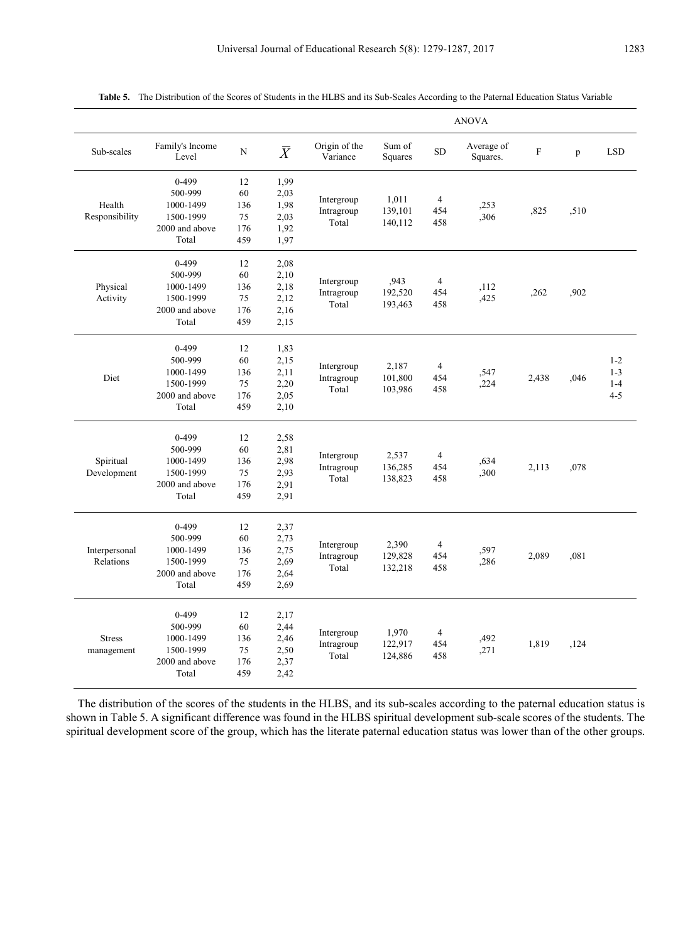|                             |                                                                           |                                     |                                              | <b>ANOVA</b>                      |                             |                              |                        |             |      |                                          |
|-----------------------------|---------------------------------------------------------------------------|-------------------------------------|----------------------------------------------|-----------------------------------|-----------------------------|------------------------------|------------------------|-------------|------|------------------------------------------|
| Sub-scales                  | Family's Income<br>Level                                                  | N                                   | $\bar{X}$                                    | Origin of the<br>Variance         | Sum of<br>Squares           | <b>SD</b>                    | Average of<br>Squares. | $\mathbf F$ | p    | <b>LSD</b>                               |
| Health<br>Responsibility    | $0 - 499$<br>500-999<br>1000-1499<br>1500-1999<br>2000 and above<br>Total | 12<br>60<br>136<br>75<br>176<br>459 | 1,99<br>2,03<br>1,98<br>2,03<br>1,92<br>1,97 | Intergroup<br>Intragroup<br>Total | 1,011<br>139,101<br>140,112 | $\overline{4}$<br>454<br>458 | ,253<br>,306           | ,825        | ,510 |                                          |
| Physical<br>Activity        | $0 - 499$<br>500-999<br>1000-1499<br>1500-1999<br>2000 and above<br>Total | 12<br>60<br>136<br>75<br>176<br>459 | 2,08<br>2,10<br>2,18<br>2,12<br>2,16<br>2,15 | Intergroup<br>Intragroup<br>Total | ,943<br>192,520<br>193,463  | $\overline{4}$<br>454<br>458 | ,112<br>,425           | .262        | ,902 |                                          |
| Diet                        | $0-499$<br>500-999<br>1000-1499<br>1500-1999<br>2000 and above<br>Total   | 12<br>60<br>136<br>75<br>176<br>459 | 1,83<br>2,15<br>2,11<br>2,20<br>2,05<br>2,10 | Intergroup<br>Intragroup<br>Total | 2,187<br>101,800<br>103,986 | $\overline{4}$<br>454<br>458 | ,547<br>,224           | 2,438       | ,046 | $1 - 2$<br>$1 - 3$<br>$1 - 4$<br>$4 - 5$ |
| Spiritual<br>Development    | $0-499$<br>500-999<br>1000-1499<br>1500-1999<br>2000 and above<br>Total   | 12<br>60<br>136<br>75<br>176<br>459 | 2,58<br>2,81<br>2,98<br>2,93<br>2,91<br>2,91 | Intergroup<br>Intragroup<br>Total | 2,537<br>136,285<br>138,823 | $\overline{4}$<br>454<br>458 | ,634<br>,300           | 2,113       | ,078 |                                          |
| Interpersonal<br>Relations  | $0 - 499$<br>500-999<br>1000-1499<br>1500-1999<br>2000 and above<br>Total | 12<br>60<br>136<br>75<br>176<br>459 | 2,37<br>2,73<br>2,75<br>2,69<br>2,64<br>2,69 | Intergroup<br>Intragroup<br>Total | 2,390<br>129,828<br>132,218 | 4<br>454<br>458              | ,597<br>,286           | 2,089       | .081 |                                          |
| <b>Stress</b><br>management | $0 - 499$<br>500-999<br>1000-1499<br>1500-1999<br>2000 and above<br>Total | 12<br>60<br>136<br>75<br>176<br>459 | 2,17<br>2,44<br>2,46<br>2,50<br>2,37<br>2,42 | Intergroup<br>Intragroup<br>Total | 1,970<br>122,917<br>124,886 | $\overline{4}$<br>454<br>458 | ,492<br>,271           | 1,819       | ,124 |                                          |

**Table 5.** The Distribution of the Scores of Students in the HLBS and its Sub-Scales According to the Paternal Education Status Variable

The distribution of the scores of the students in the HLBS, and its sub-scales according to the paternal education status is shown in Table 5. A significant difference was found in the HLBS spiritual development sub-scale scores of the students. The spiritual development score of the group, which has the literate paternal education status was lower than of the other groups.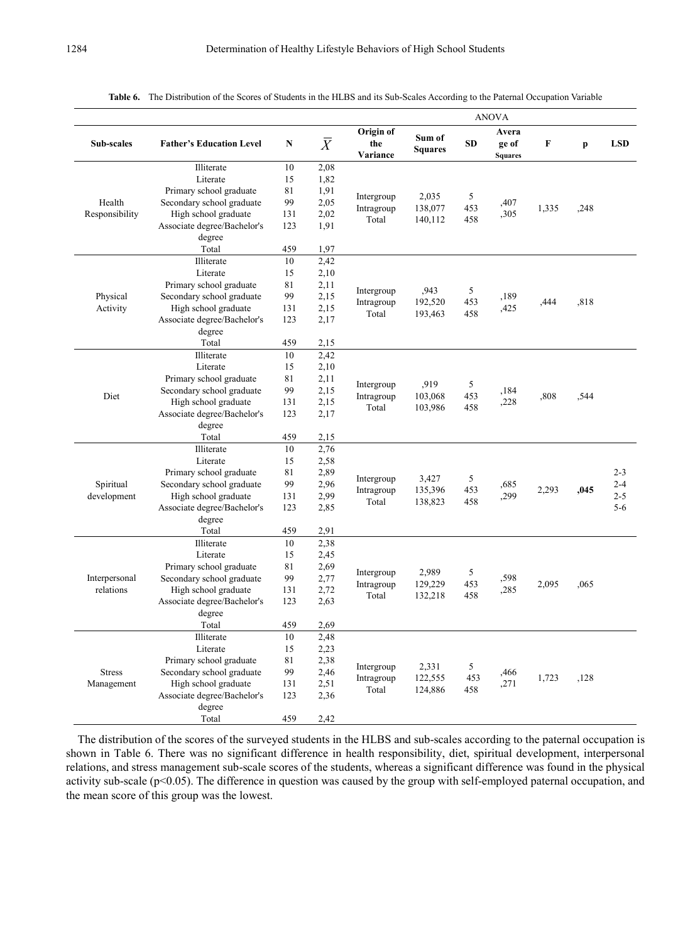| Sub-scales                  | <b>Father's Education Level</b>                                                                                                                          | N                                             | $\bar{X}$                                            | Origin of<br>the<br>Variance      | Sum of<br><b>Squares</b>    | SD.                      | Avera<br>ge of<br><b>Squares</b> | F     | p    | <b>LSD</b>                               |
|-----------------------------|----------------------------------------------------------------------------------------------------------------------------------------------------------|-----------------------------------------------|------------------------------------------------------|-----------------------------------|-----------------------------|--------------------------|----------------------------------|-------|------|------------------------------------------|
| Health<br>Responsibility    | Illiterate<br>Literate<br>Primary school graduate<br>Secondary school graduate<br>High school graduate<br>Associate degree/Bachelor's                    | 10<br>15<br>81<br>99<br>131<br>123            | 2,08<br>1,82<br>1,91<br>2,05<br>2,02<br>1,91         | Intergroup<br>Intragroup<br>Total | 2,035<br>138,077<br>140,112 | 5<br>453<br>458          | ,407<br>,305                     | 1,335 | ,248 |                                          |
|                             | degree<br>Total                                                                                                                                          | 459                                           | 1,97                                                 |                                   |                             |                          |                                  |       |      |                                          |
| Physical<br>Activity        | Illiterate<br>Literate<br>Primary school graduate<br>Secondary school graduate<br>High school graduate<br>Associate degree/Bachelor's<br>degree<br>Total | 10<br>15<br>81<br>99<br>131<br>123<br>459     | 2,42<br>2,10<br>2,11<br>2,15<br>2,15<br>2,17<br>2,15 | Intergroup<br>Intragroup<br>Total | ,943<br>192,520<br>193,463  | 5<br>453<br>458          | ,189<br>,425                     | ,444  | .818 |                                          |
| Diet                        | Illiterate<br>Literate<br>Primary school graduate<br>Secondary school graduate<br>High school graduate<br>Associate degree/Bachelor's<br>degree<br>Total | 10<br>15<br>81<br>99<br>131<br>123<br>459     | 2,42<br>2,10<br>2,11<br>2,15<br>2,15<br>2,17<br>2,15 | Intergroup<br>Intragroup<br>Total | ,919<br>103,068<br>103,986  | 5<br>453<br>458          | ,184<br>,228                     | ,808  | ,544 |                                          |
| Spiritual<br>development    | Illiterate<br>Literate<br>Primary school graduate<br>Secondary school graduate<br>High school graduate<br>Associate degree/Bachelor's<br>degree<br>Total | 10<br>15<br>81<br>99<br>131<br>123<br>459     | 2,76<br>2,58<br>2,89<br>2,96<br>2,99<br>2,85<br>2,91 | Intergroup<br>Intragroup<br>Total | 3,427<br>135,396<br>138,823 | $\sqrt{5}$<br>453<br>458 | ,685<br>,299                     | 2,293 | ,045 | $2 - 3$<br>$2 - 4$<br>$2 - 5$<br>$5 - 6$ |
| Interpersonal<br>relations  | Illiterate<br>Literate<br>Primary school graduate<br>Secondary school graduate<br>High school graduate<br>Associate degree/Bachelor's<br>degree<br>Total | 10<br>15<br>81<br>99<br>131<br>123<br>459     | 2,38<br>2,45<br>2,69<br>2,77<br>2,72<br>2,63<br>2,69 | Intergroup<br>Intragroup<br>Total | 2,989<br>129,229<br>132,218 | 5<br>453<br>458          | ,598<br>,285                     | 2,095 | .065 |                                          |
| <b>Stress</b><br>Management | Illiterate<br>Literate<br>Primary school graduate<br>Secondary school graduate<br>High school graduate<br>Associate degree/Bachelor's<br>degree<br>Total | $10\,$<br>15<br>81<br>99<br>131<br>123<br>459 | 2,48<br>2,23<br>2,38<br>2,46<br>2,51<br>2,36<br>2,42 | Intergroup<br>Intragroup<br>Total | 2,331<br>122,555<br>124,886 | 5<br>453<br>458          | ,466<br>,271                     | 1,723 | ,128 |                                          |

**Table 6.** The Distribution of the Scores of Students in the HLBS and its Sub-Scales According to the Paternal Occupation Variable

The distribution of the scores of the surveyed students in the HLBS and sub-scales according to the paternal occupation is shown in Table 6. There was no significant difference in health responsibility, diet, spiritual development, interpersonal relations, and stress management sub-scale scores of the students, whereas a significant difference was found in the physical activity sub-scale (p<0.05). The difference in question was caused by the group with self-employed paternal occupation, and the mean score of this group was the lowest.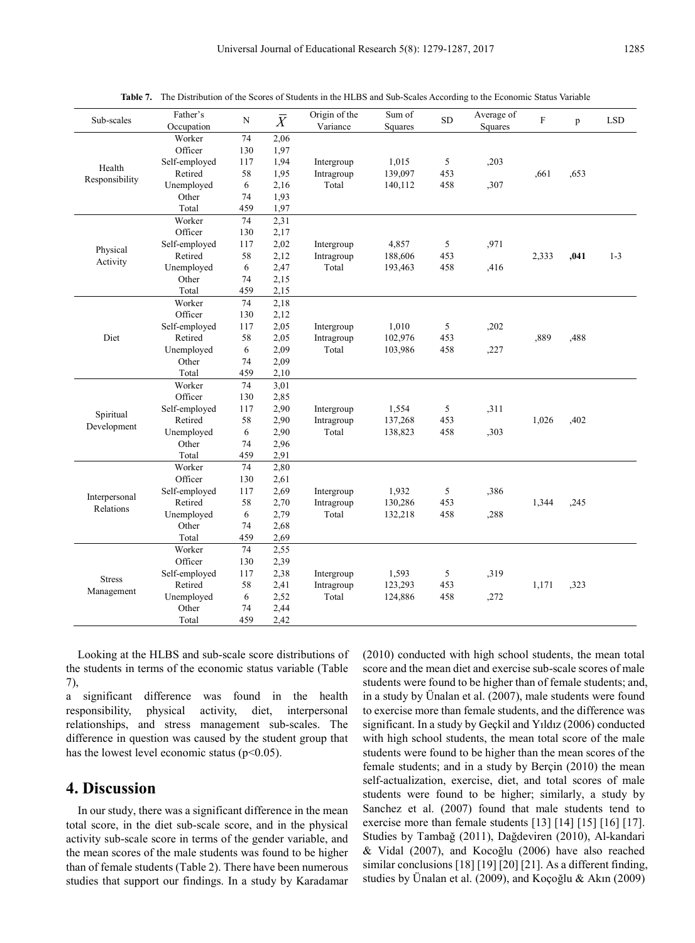| 74<br>Worker<br>2,06<br>Officer<br>1,97<br>130<br>Self-employed<br>117<br>1,94<br>1,015<br>5<br>,203<br>Intergroup<br>Health<br>Retired<br>58<br>1,95<br>139,097<br>453<br>.661<br>Intragroup<br>,653<br>Responsibility<br>Unemployed<br>6<br>2,16<br>Total<br>458<br>,307<br>140,112 |         |
|---------------------------------------------------------------------------------------------------------------------------------------------------------------------------------------------------------------------------------------------------------------------------------------|---------|
|                                                                                                                                                                                                                                                                                       |         |
|                                                                                                                                                                                                                                                                                       |         |
|                                                                                                                                                                                                                                                                                       |         |
|                                                                                                                                                                                                                                                                                       |         |
|                                                                                                                                                                                                                                                                                       |         |
| Other<br>1,93<br>74                                                                                                                                                                                                                                                                   |         |
| Total<br>459<br>1,97                                                                                                                                                                                                                                                                  |         |
| 74<br>Worker<br>2,31                                                                                                                                                                                                                                                                  |         |
| Officer<br>130<br>2,17                                                                                                                                                                                                                                                                |         |
| Self-employed<br>117<br>2,02<br>4,857<br>5<br>,971<br>Intergroup<br>Physical                                                                                                                                                                                                          |         |
| Retired<br>58<br>2,12<br>188,606<br>453<br>2,333<br>,041<br>Intragroup<br>Activity                                                                                                                                                                                                    | $1 - 3$ |
| Unemployed<br>2,47<br>Total<br>193,463<br>458<br>6<br>,416                                                                                                                                                                                                                            |         |
| Other<br>74<br>2,15                                                                                                                                                                                                                                                                   |         |
| 459<br>2,15<br>Total                                                                                                                                                                                                                                                                  |         |
| Worker<br>74<br>2,18                                                                                                                                                                                                                                                                  |         |
| Officer<br>130<br>2,12                                                                                                                                                                                                                                                                |         |
| Self-employed<br>2,05<br>1,010<br>,202<br>117<br>Intergroup<br>5                                                                                                                                                                                                                      |         |
| Diet<br>Retired<br>58<br>2,05<br>102,976<br>453<br>,889<br>Intragroup<br>,488                                                                                                                                                                                                         |         |
| 2,09<br>Unemployed<br>6<br>Total<br>103,986<br>458<br>,227                                                                                                                                                                                                                            |         |
| Other<br>74<br>2,09                                                                                                                                                                                                                                                                   |         |
| Total<br>459<br>2,10                                                                                                                                                                                                                                                                  |         |
| Worker<br>74<br>3,01                                                                                                                                                                                                                                                                  |         |
| Officer<br>2,85<br>130                                                                                                                                                                                                                                                                |         |
| 5<br>Self-employed<br>117<br>2,90<br>1,554<br>,311<br>Intergroup<br>Spiritual                                                                                                                                                                                                         |         |
| Retired<br>2,90<br>137,268<br>453<br>58<br>1,026<br>,402<br>Intragroup<br>Development                                                                                                                                                                                                 |         |
| 2,90<br>Unemployed<br>6<br>Total<br>138,823<br>458<br>,303                                                                                                                                                                                                                            |         |
| 2,96<br>Other<br>74                                                                                                                                                                                                                                                                   |         |
| Total<br>459<br>2.91                                                                                                                                                                                                                                                                  |         |
| Worker<br>2,80<br>74                                                                                                                                                                                                                                                                  |         |
| Officer<br>130<br>2,61                                                                                                                                                                                                                                                                |         |
| Self-employed<br>117<br>2,69<br>1,932<br>5<br>Intergroup<br>.386<br>Interpersonal                                                                                                                                                                                                     |         |
| Retired<br>58<br>2,70<br>453<br>Intragroup<br>130,286<br>1,344<br>,245<br>Relations                                                                                                                                                                                                   |         |
| Unemployed<br>6<br>2,79<br>Total<br>132,218<br>458<br>,288                                                                                                                                                                                                                            |         |
| Other<br>2,68<br>74                                                                                                                                                                                                                                                                   |         |
| Total<br>459<br>2,69                                                                                                                                                                                                                                                                  |         |
| 74<br>Worker<br>2,55                                                                                                                                                                                                                                                                  |         |
| Officer<br>2,39<br>130                                                                                                                                                                                                                                                                |         |
| Self-employed<br>117<br>2,38<br>1,593<br>5<br>,319<br>Intergroup<br><b>Stress</b>                                                                                                                                                                                                     |         |
| 58<br>2,41<br>453<br>Retired<br>123,293<br>1,171<br>,323<br>Intragroup<br>Management                                                                                                                                                                                                  |         |
| 2,52<br>Unemployed<br>6<br>Total<br>124,886<br>458<br>,272                                                                                                                                                                                                                            |         |
| Other<br>74<br>2,44                                                                                                                                                                                                                                                                   |         |
| 459<br>2,42<br>Total                                                                                                                                                                                                                                                                  |         |

**Table 7.** The Distribution of the Scores of Students in the HLBS and Sub-Scales According to the Economic Status Variable

Looking at the HLBS and sub-scale score distributions of the students in terms of the economic status variable (Table 7),

a significant difference was found in the health responsibility, physical activity, diet, interpersonal relationships, and stress management sub-scales. The difference in question was caused by the student group that has the lowest level economic status ( $p<0.05$ ).

## **4. Discussion**

In our study, there was a significant difference in the mean total score, in the diet sub-scale score, and in the physical activity sub-scale score in terms of the gender variable, and the mean scores of the male students was found to be higher than of female students (Table 2). There have been numerous studies that support our findings. In a study by Karadamar

(2010) conducted with high school students, the mean total score and the mean diet and exercise sub-scale scores of male students were found to be higher than of female students; and, in a study by Ünalan et al. (2007), male students were found to exercise more than female students, and the difference was significant. In a study by Geçkil and Yıldız (2006) conducted with high school students, the mean total score of the male students were found to be higher than the mean scores of the female students; and in a study by Berçin (2010) the mean self-actualization, exercise, diet, and total scores of male students were found to be higher; similarly, a study by Sanchez et al. (2007) found that male students tend to exercise more than female students [13] [14] [15] [16] [17]. Studies by Tambağ (2011), Dağdeviren (2010), Al-kandari & Vidal (2007), and Kocoğlu (2006) have also reached similar conclusions [18] [19] [20] [21]. As a different finding, studies by Ünalan et al. (2009), and Koçoğlu & Akın (2009)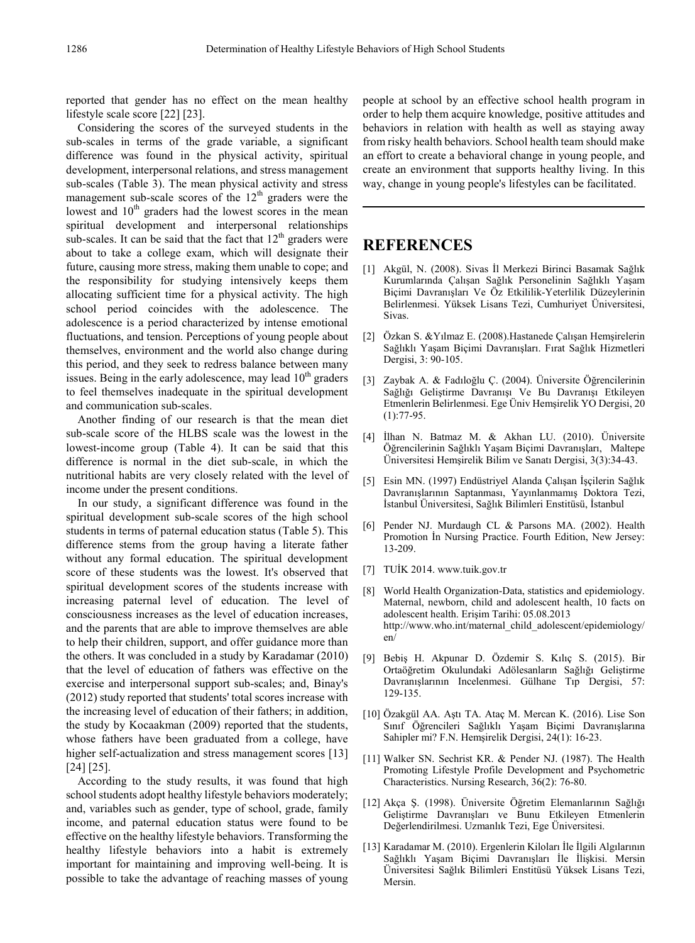reported that gender has no effect on the mean healthy lifestyle scale score [22] [23].

Considering the scores of the surveyed students in the sub-scales in terms of the grade variable, a significant difference was found in the physical activity, spiritual development, interpersonal relations, and stress management sub-scales (Table 3). The mean physical activity and stress management sub-scale scores of the  $12<sup>th</sup>$  graders were the lowest and  $10<sup>th</sup>$  graders had the lowest scores in the mean spiritual development and interpersonal relationships sub-scales. It can be said that the fact that 12<sup>th</sup> graders were about to take a college exam, which will designate their future, causing more stress, making them unable to cope; and the responsibility for studying intensively keeps them allocating sufficient time for a physical activity. The high school period coincides with the adolescence. The adolescence is a period characterized by intense emotional fluctuations, and tension. Perceptions of young people about themselves, environment and the world also change during this period, and they seek to redress balance between many issues. Being in the early adolescence, may lead  $10<sup>th</sup>$  graders to feel themselves inadequate in the spiritual development and communication sub-scales.

Another finding of our research is that the mean diet sub-scale score of the HLBS scale was the lowest in the lowest-income group (Table 4). It can be said that this difference is normal in the diet sub-scale, in which the nutritional habits are very closely related with the level of income under the present conditions.

In our study, a significant difference was found in the spiritual development sub-scale scores of the high school students in terms of paternal education status (Table 5). This difference stems from the group having a literate father without any formal education. The spiritual development score of these students was the lowest. It's observed that spiritual development scores of the students increase with increasing paternal level of education. The level of consciousness increases as the level of education increases, and the parents that are able to improve themselves are able to help their children, support, and offer guidance more than the others. It was concluded in a study by Karadamar (2010) that the level of education of fathers was effective on the exercise and interpersonal support sub-scales; and, Binay's (2012) study reported that students' total scores increase with the increasing level of education of their fathers; in addition, the study by Kocaakman (2009) reported that the students, whose fathers have been graduated from a college, have higher self-actualization and stress management scores [13] [24] [25].

According to the study results, it was found that high school students adopt healthy lifestyle behaviors moderately; and, variables such as gender, type of school, grade, family income, and paternal education status were found to be effective on the healthy lifestyle behaviors. Transforming the healthy lifestyle behaviors into a habit is extremely important for maintaining and improving well-being. It is possible to take the advantage of reaching masses of young

people at school by an effective school health program in order to help them acquire knowledge, positive attitudes and behaviors in relation with health as well as staying away from risky health behaviors. School health team should make an effort to create a behavioral change in young people, and create an environment that supports healthy living. In this way, change in young people's lifestyles can be facilitated.

# **REFERENCES**

- [1] Akgül, N. (2008). Sivas İl Merkezi Birinci Basamak Sağlık Kurumlarında Çalışan Sağlık Personelinin Sağlıklı Yaşam Biçimi Davranışları Ve Öz Etkililik-Yeterlilik Düzeylerinin Belirlenmesi. Yüksek Lisans Tezi, Cumhuriyet Üniversitesi, Sivas.
- [2] Özkan S. &Yılmaz E. (2008).Hastanede Çalışan Hemşirelerin Sağlıklı Yaşam Biçimi Davranışları. Fırat Sağlık Hizmetleri Dergisi, 3: 90-105.
- [3] Zaybak A. & Fadıloğlu Ç. (2004). Üniversite Öğrencilerinin Sağlığı Geliştirme Davranışı Ve Bu Davranışı Etkileyen Etmenlerin Belirlenmesi. Ege Üniv Hemşirelik YO Dergisi, 20 (1):77-95.
- [4] İlhan N. Batmaz M. & Akhan LU. (2010). Üniversite Öğrencilerinin Sağlıklı Yaşam Biçimi Davranışları, Maltepe Üniversitesi Hemşirelik Bilim ve Sanatı Dergisi, 3(3):34-43.
- [5] Esin MN. (1997) Endüstriyel Alanda Çalışan İşçilerin Sağlık Davranışlarının Saptanması, Yayınlanmamış Doktora Tezi, İstanbul Üniversitesi, Sağlık Bilimleri Enstitüsü, İstanbul
- [6] Pender NJ. Murdaugh CL & Parsons MA. (2002). Health Promotion İn Nursing Practice. Fourth Edition, New Jersey: 13-209.
- [7] TUİK 2014. www.tuik.gov.tr
- [8] World Health Organization-Data, statistics and epidemiology. Maternal, newborn, child and adolescent health, 10 facts on adolescent health. Erişim Tarihi: 05.08.2013 http://www.who.int/maternal\_child\_adolescent/epidemiology/ en/
- [9] Bebiş H. Akpunar D. Özdemir S. Kılıç S. (2015). Bir Ortaöğretim Okulundaki Adölesanların Sağlığı Geliştirme Davranışlarının Incelenmesi. Gülhane Tıp Dergisi, 57: 129-135.
- [10] Özakgül AA. Aştı TA. Ataç M. Mercan K. (2016). Lise Son Sınıf Öğrencileri Sağlıklı Yaşam Biçimi Davranışlarına Sahipler mi? F.N. Hemşirelik Dergisi, 24(1): 16-23.
- [11] Walker SN. Sechrist KR. & Pender NJ. (1987). The Health Promoting Lifestyle Profile Development and Psychometric Characteristics. Nursing Research, 36(2): 76-80.
- [12] Akça Ş. (1998). Üniversite Öğretim Elemanlarının Sağlığı Geliştirme Davranışları ve Bunu Etkileyen Etmenlerin Değerlendirilmesi. Uzmanlık Tezi, Ege Üniversitesi.
- [13] Karadamar M. (2010). Ergenlerin Kiloları İle İlgili Algılarının Sağlıklı Yaşam Biçimi Davranışları İle İlişkisi. Mersin Üniversitesi Sağlık Bilimleri Enstitüsü Yüksek Lisans Tezi, Mersin.